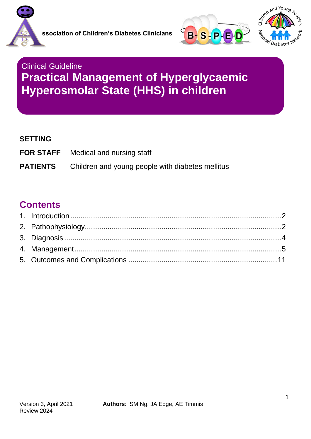





# Clinical Guideline **Practical Management of Hyperglycaemic Hyperosmolar State (HHS) in children**

#### **SETTING**

**FOR STAFF** Medical and nursing staff **PATIENTS** Children and young people with diabetes mellitus

### **Contents**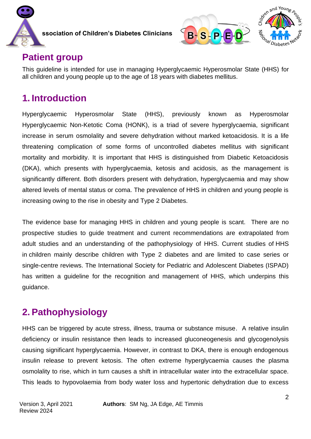



## **Patient group**

This guideline is intended for use in managing Hyperglycaemic Hyperosmolar State (HHS) for all children and young people up to the age of 18 years with diabetes mellitus.

## <span id="page-1-0"></span>**1. Introduction**

Hyperglycaemic Hyperosmolar State (HHS), previously known as Hyperosmolar Hyperglycaemic Non-Ketotic Coma (HONK), is a triad of severe hyperglycaemia, significant increase in serum osmolality and severe dehydration without marked ketoacidosis. It is a life threatening complication of some forms of uncontrolled diabetes mellitus with significant mortality and morbidity. It is important that HHS is distinguished from Diabetic Ketoacidosis (DKA), which presents with hyperglycaemia, ketosis and acidosis, as the management is significantly different. Both disorders present with dehydration, hyperglycaemia and may show altered levels of mental status or coma. The prevalence of HHS in children and young people is increasing owing to the rise in obesity and Type 2 Diabetes.

The evidence base for managing HHS in children and young people is scant. There are no prospective studies to guide treatment and current recommendations are extrapolated from adult studies and an understanding of the pathophysiology of HHS. Current studies of HHS in children mainly describe children with Type 2 diabetes and are limited to case series or single-centre reviews. The International Society for Pediatric and Adolescent Diabetes (ISPAD) has written a guideline for the recognition and management of HHS, which underpins this guidance.

# <span id="page-1-1"></span>**2. Pathophysiology**

HHS can be triggered by acute stress, illness, trauma or substance misuse. A relative insulin deficiency or insulin resistance then leads to increased gluconeogenesis and glycogenolysis causing significant hyperglycaemia. However, in contrast to DKA, there is enough endogenous insulin release to prevent ketosis. The often extreme hyperglycaemia causes the plasma osmolality to rise, which in turn causes a shift in intracellular water into the extracellular space. This leads to hypovolaemia from body water loss and hypertonic dehydration due to excess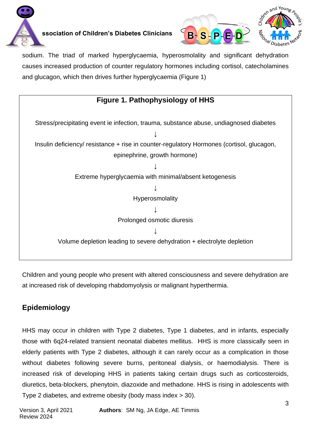





sodium. The triad of marked hyperglycaemia, hyperosmolality and significant dehydration causes increased production of counter regulatory hormones including cortisol, catecholamines and glucagon, which then drives further hyperglycaemia (Figure 1)



Children and young people who present with altered consciousness and severe dehydration are at increased risk of developing rhabdomyolysis or malignant hyperthermia.

### **Epidemiology**

HHS may occur in children with Type 2 diabetes, Type 1 diabetes, and in infants, especially those with 6q24-related transient neonatal diabetes mellitus. HHS is more classically seen in elderly patients with Type 2 diabetes, although it can rarely occur as a complication in those without diabetes following severe burns, peritoneal dialysis, or haemodialysis. There is increased risk of developing HHS in patients taking certain drugs such as corticosteroids, diuretics, beta-blockers, phenytoin, diazoxide and methadone. HHS is rising in adolescents with Type 2 diabetes, and extreme obesity (body mass index > 30).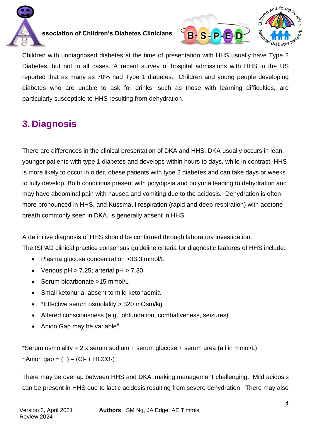





Children with undiagnosed diabetes at the time of presentation with HHS usually have Type 2 Diabetes, but not in all cases. A recent survey of hospital admissions with HHS in the US reported that as many as 70% had Type 1 diabetes. Children and young people developing diabetes who are unable to ask for drinks, such as those with learning difficulties, are particularly susceptible to HHS resulting from dehydration.

# <span id="page-3-0"></span>**3. Diagnosis**

There are differences in the clinical presentation of DKA and HHS. DKA usually occurs in lean, younger patients with type 1 diabetes and develops within hours to days, while in contrast, HHS is more likely to occur in older, obese patients with type 2 diabetes and can take days or weeks to fully develop. Both conditions present with polydipsia and polyuria leading to dehydration and may have abdominal pain with nausea and vomiting due to the acidosis. Dehydration is often more pronounced in HHS, and Kussmaul respiration (rapid and deep respiration) with acetone breath commonly seen in DKA, is generally absent in HHS.

A definitive diagnosis of HHS should be confirmed through laboratory investigation. The ISPAD clinical practice consensus guideline criteria for diagnostic features of HHS include:

- Plasma glucose concentration >33.3 mmol/L
- Venous  $pH > 7.25$ ; arterial  $pH > 7.30$
- Serum bicarbonate >15 mmol/L
- Small ketonuria, absent to mild ketonaemia
- \* Effective serum osmolality > 320 mOsm/kg
- Altered consciousness (e.g., obtundation, combativeness, seizures)
- Anion Gap may be variable#

\*Serum osmolality = 2 x serum sodium + serum glucose + serum urea (all in mmol/L)  $#$  Anion gap =  $(+)$  – (CI- + HCO3-)

There may be overlap between HHS and DKA, making management challenging. Mild acidosis can be present in HHS due to lactic acidosis resulting from severe dehydration. There may also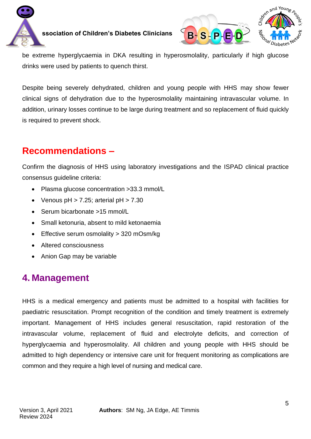



be extreme hyperglycaemia in DKA resulting in hyperosmolality, particularly if high glucose drinks were used by patients to quench thirst.

Despite being severely dehydrated, children and young people with HHS may show fewer clinical signs of dehydration due to the hyperosmolality maintaining intravascular volume. In addition, urinary losses continue to be large during treatment and so replacement of fluid quickly is required to prevent shock.

## **Recommendations –**

Confirm the diagnosis of HHS using laboratory investigations and the ISPAD clinical practice consensus guideline criteria:

- Plasma glucose concentration > 33.3 mmol/L
- Venous  $pH > 7.25$ ; arterial  $pH > 7.30$
- Serum bicarbonate >15 mmol/L
- Small ketonuria, absent to mild ketonaemia
- Effective serum osmolality > 320 mOsm/kg
- Altered consciousness
- Anion Gap may be variable

## <span id="page-4-0"></span>**4. Management**

HHS is a medical emergency and patients must be admitted to a hospital with facilities for paediatric resuscitation. Prompt recognition of the condition and timely treatment is extremely important. Management of HHS includes general resuscitation, rapid restoration of the intravascular volume, replacement of fluid and electrolyte deficits, and correction of hyperglycaemia and hyperosmolality. All children and young people with HHS should be admitted to high dependency or intensive care unit for frequent monitoring as complications are common and they require a high level of nursing and medical care.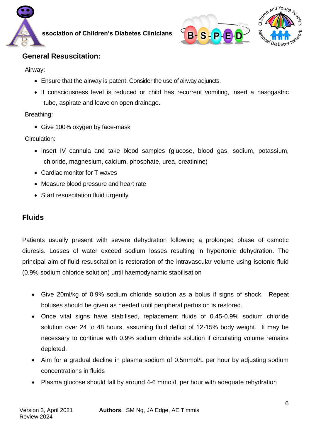





#### **General Resuscitation:**

Airway:

- Ensure that the airway is patent. Consider the use of airway adjuncts.
- If consciousness level is reduced or child has recurrent vomiting, insert a nasogastric tube, aspirate and leave on open drainage.

#### Breathing:

• Give 100% oxygen by face-mask

Circulation:

- Insert IV cannula and take blood samples (glucose, blood gas, sodium, potassium, chloride, magnesium, calcium, phosphate, urea, creatinine)
- Cardiac monitor for T waves
- Measure blood pressure and heart rate
- Start resuscitation fluid urgently

### **Fluids**

Patients usually present with severe dehydration following a prolonged phase of osmotic diuresis. Losses of water exceed sodium losses resulting in hypertonic dehydration. The principal aim of fluid resuscitation is restoration of the intravascular volume using isotonic fluid (0.9% sodium chloride solution) until haemodynamic stabilisation

- Give 20ml/kg of 0.9% sodium chloride solution as a bolus if signs of shock. Repeat boluses should be given as needed until peripheral perfusion is restored.
- Once vital signs have stabilised, replacement fluids of 0.45-0.9% sodium chloride solution over 24 to 48 hours, assuming fluid deficit of 12-15% body weight. It may be necessary to continue with 0.9% sodium chloride solution if circulating volume remains depleted.
- Aim for a gradual decline in plasma sodium of 0.5mmol/L per hour by adjusting sodium concentrations in fluids
- Plasma glucose should fall by around 4-6 mmol/L per hour with adequate rehydration

**Authors**: SM Ng, JA Edge, AE Timmis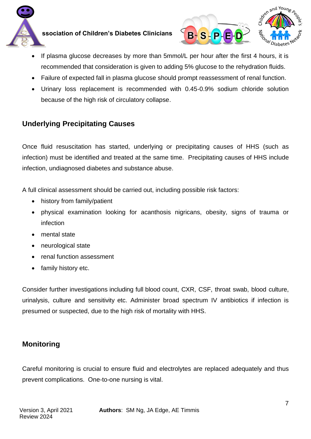



- If plasma glucose decreases by more than 5mmol/L per hour after the first 4 hours, it is recommended that consideration is given to adding 5% glucose to the rehydration fluids.
- Failure of expected fall in plasma glucose should prompt reassessment of renal function.
- Urinary loss replacement is recommended with 0.45-0.9% sodium chloride solution because of the high risk of circulatory collapse.

### **Underlying Precipitating Causes**

Once fluid resuscitation has started, underlying or precipitating causes of HHS (such as infection) must be identified and treated at the same time. Precipitating causes of HHS include infection, undiagnosed diabetes and substance abuse.

A full clinical assessment should be carried out, including possible risk factors:

- history from family/patient
- physical examination looking for acanthosis nigricans, obesity, signs of trauma or infection
- mental state
- neurological state
- renal function assessment
- family history etc.

Consider further investigations including full blood count, CXR, CSF, throat swab, blood culture, urinalysis, culture and sensitivity etc. Administer broad spectrum IV antibiotics if infection is presumed or suspected, due to the high risk of mortality with HHS.

#### **Monitoring**

Careful monitoring is crucial to ensure fluid and electrolytes are replaced adequately and thus prevent complications. One-to-one nursing is vital.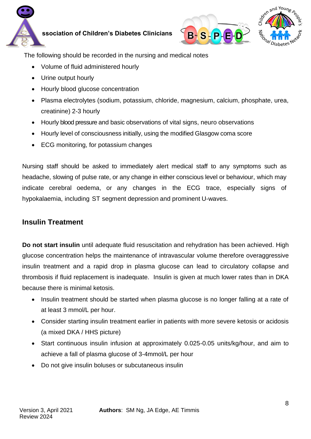





The following should be recorded in the nursing and medical notes

- Volume of fluid administered hourly
- Urine output hourly
- Hourly blood glucose concentration
- Plasma electrolytes (sodium, potassium, chloride, magnesium, calcium, phosphate, urea, creatinine) 2-3 hourly
- Hourly blood pressure and basic observations of vital signs, neuro observations
- Hourly level of consciousness initially, using the modified Glasgow coma score
- ECG monitoring, for potassium changes

Nursing staff should be asked to immediately alert medical staff to any symptoms such as headache, slowing of pulse rate, or any change in either conscious level or behaviour, which may indicate cerebral oedema, or any changes in the ECG trace, especially signs of hypokalaemia, including ST segment depression and prominent U-waves.

### **Insulin Treatment**

**Do not start insulin** until adequate fluid resuscitation and rehydration has been achieved. High glucose concentration helps the maintenance of intravascular volume therefore overaggressive insulin treatment and a rapid drop in plasma glucose can lead to circulatory collapse and thrombosis if fluid replacement is inadequate. Insulin is given at much lower rates than in DKA because there is minimal ketosis.

- Insulin treatment should be started when plasma glucose is no longer falling at a rate of at least 3 mmol/L per hour.
- Consider starting insulin treatment earlier in patients with more severe ketosis or acidosis (a mixed DKA / HHS picture)
- Start continuous insulin infusion at approximately 0.025-0.05 units/kg/hour, and aim to achieve a fall of plasma glucose of 3-4mmol/L per hour
- Do not give insulin boluses or subcutaneous insulin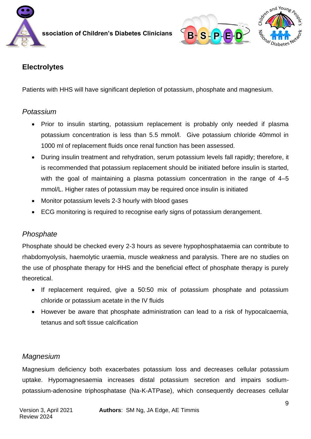



### **Electrolytes**

Patients with HHS will have significant depletion of potassium, phosphate and magnesium.

#### *Potassium*

- Prior to insulin starting, potassium replacement is probably only needed if plasma potassium concentration is less than 5.5 mmol/l. Give potassium chloride 40mmol in 1000 ml of replacement fluids once renal function has been assessed.
- During insulin treatment and rehydration, serum potassium levels fall rapidly; therefore, it is recommended that potassium replacement should be initiated before insulin is started, with the goal of maintaining a plasma potassium concentration in the range of 4–5 mmol/L. Higher rates of potassium may be required once insulin is initiated
- Monitor potassium levels 2-3 hourly with blood gases
- ECG monitoring is required to recognise early signs of potassium derangement.

#### *Phosphate*

Phosphate should be checked every 2-3 hours as severe hypophosphataemia can contribute to rhabdomyolysis, haemolytic uraemia, muscle weakness and paralysis. There are no studies on the use of phosphate therapy for HHS and the beneficial effect of phosphate therapy is purely theoretical.

- If replacement required, give a 50:50 mix of potassium phosphate and potassium chloride or potassium acetate in the IV fluids
- However be aware that phosphate administration can lead to a risk of hypocalcaemia, tetanus and soft tissue calcification

#### *Magnesium*

Magnesium deficiency both exacerbates potassium loss and decreases cellular potassium uptake. Hypomagnesaemia increases distal potassium secretion and impairs sodiumpotassium-adenosine triphosphatase (Na-K-ATPase), which consequently decreases cellular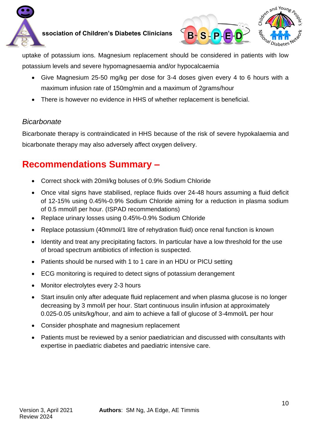



uptake of potassium ions. Magnesium replacement should be considered in patients with low potassium levels and severe hypomagnesaemia and/or hypocalcaemia

- Give Magnesium 25-50 mg/kg per dose for 3-4 doses given every 4 to 6 hours with a maximum infusion rate of 150mg/min and a maximum of 2grams/hour
- There is however no evidence in HHS of whether replacement is beneficial.

#### *Bicarbonate*

Bicarbonate therapy is contraindicated in HHS because of the risk of severe hypokalaemia and bicarbonate therapy may also adversely affect oxygen delivery.

# **Recommendations Summary –**

- Correct shock with 20ml/kg boluses of 0.9% Sodium Chloride
- Once vital signs have stabilised, replace fluids over 24-48 hours assuming a fluid deficit of 12-15% using 0.45%-0.9% Sodium Chloride aiming for a reduction in plasma sodium of 0.5 mmol/l per hour. (ISPAD recommendations)
- Replace urinary losses using 0.45%-0.9% Sodium Chloride
- Replace potassium (40mmol/1 litre of rehydration fluid) once renal function is known
- Identity and treat any precipitating factors. In particular have a low threshold for the use of broad spectrum antibiotics of infection is suspected.
- Patients should be nursed with 1 to 1 care in an HDU or PICU setting
- ECG monitoring is required to detect signs of potassium derangement
- Monitor electrolytes every 2-3 hours
- Start insulin only after adequate fluid replacement and when plasma glucose is no longer decreasing by 3 mmol/l per hour. Start continuous insulin infusion at approximately 0.025-0.05 units/kg/hour, and aim to achieve a fall of glucose of 3-4mmol/L per hour
- Consider phosphate and magnesium replacement
- Patients must be reviewed by a senior paediatrician and discussed with consultants with expertise in paediatric diabetes and paediatric intensive care.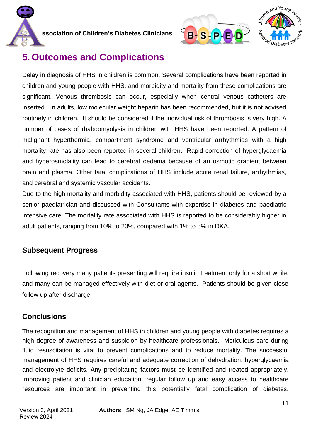





## <span id="page-10-0"></span>**5. Outcomes and Complications**

Delay in diagnosis of HHS in children is common. Several complications have been reported in children and young people with HHS, and morbidity and mortality from these complications are significant. Venous thrombosis can occur, especially when central venous catheters are inserted. In adults, low molecular weight heparin has been recommended, but it is not advised routinely in children. It should be considered if the individual risk of thrombosis is very high. A number of cases of rhabdomyolysis in children with HHS have been reported. A pattern of malignant hyperthermia, compartment syndrome and ventricular arrhythmias with a high mortality rate has also been reported in several children. Rapid correction of hyperglycaemia and hyperosmolality can lead to cerebral oedema because of an osmotic gradient between brain and plasma. Other fatal complications of HHS include acute renal failure, arrhythmias, and cerebral and systemic vascular accidents.

Due to the high mortality and morbidity associated with HHS, patients should be reviewed by a senior paediatrician and discussed with Consultants with expertise in diabetes and paediatric intensive care. The mortality rate associated with HHS is reported to be considerably higher in adult patients, ranging from 10% to 20%, compared with 1% to 5% in DKA.

#### **Subsequent Progress**

Following recovery many patients presenting will require insulin treatment only for a short while, and many can be managed effectively with diet or oral agents. Patients should be given close follow up after discharge.

### **Conclusions**

The recognition and management of HHS in children and young people with diabetes requires a high degree of awareness and suspicion by healthcare professionals. Meticulous care during fluid resuscitation is vital to prevent complications and to reduce mortality. The successful management of HHS requires careful and adequate correction of dehydration, hyperglycaemia and electrolyte deficits. Any precipitating factors must be identified and treated appropriately. Improving patient and clinician education, regular follow up and easy access to healthcare resources are important in preventing this potentially fatal complication of diabetes.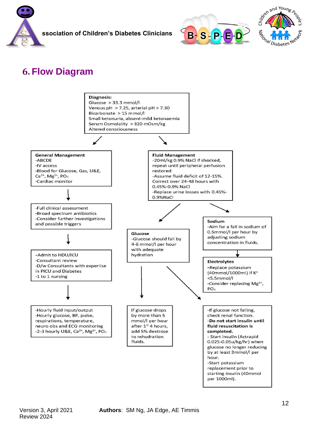





# **6. Flow Diagram**

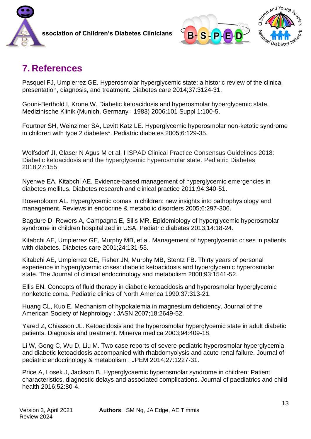



## **7. References**

Pasquel FJ, Umpierrez GE. Hyperosmolar hyperglycemic state: a historic review of the clinical presentation, diagnosis, and treatment. Diabetes care 2014;37:3124-31.

Gouni-Berthold I, Krone W. Diabetic ketoacidosis and hyperosmolar hyperglycemic state. Medizinische Klinik (Munich, Germany : 1983) 2006;101 Suppl 1:100-5.

Fourtner SH, Weinzimer SA, Levitt Katz LE. Hyperglycemic hyperosmolar non-ketotic syndrome in children with type 2 diabetes\*. Pediatric diabetes 2005;6:129-35.

Wolfsdorf JI, Glaser N Agus M et al. I ISPAD Clinical Practice Consensus Guidelines 2018: Diabetic ketoacidosis and the hyperglycemic hyperosmolar state. Pediatric Diabetes 2018,27:155

Nyenwe EA, Kitabchi AE. Evidence-based management of hyperglycemic emergencies in diabetes mellitus. Diabetes research and clinical practice 2011;94:340-51.

Rosenbloom AL. Hyperglycemic comas in children: new insights into pathophysiology and management. Reviews in endocrine & metabolic disorders 2005;6:297-306.

Bagdure D, Rewers A, Campagna E, Sills MR. Epidemiology of hyperglycemic hyperosmolar syndrome in children hospitalized in USA. Pediatric diabetes 2013;14:18-24.

Kitabchi AE, Umpierrez GE, Murphy MB, et al. Management of hyperglycemic crises in patients with diabetes. Diabetes care 2001;24:131-53.

Kitabchi AE, Umpierrez GE, Fisher JN, Murphy MB, Stentz FB. Thirty years of personal experience in hyperglycemic crises: diabetic ketoacidosis and hyperglycemic hyperosmolar state. The Journal of clinical endocrinology and metabolism 2008;93:1541-52.

Ellis EN. Concepts of fluid therapy in diabetic ketoacidosis and hyperosmolar hyperglycemic nonketotic coma. Pediatric clinics of North America 1990;37:313-21.

Huang CL, Kuo E. Mechanism of hypokalemia in magnesium deficiency. Journal of the American Society of Nephrology : JASN 2007;18:2649-52.

Yared Z, Chiasson JL. Ketoacidosis and the hyperosmolar hyperglycemic state in adult diabetic patients. Diagnosis and treatment. Minerva medica 2003;94:409-18.

Li W, Gong C, Wu D, Liu M. Two case reports of severe pediatric hyperosmolar hyperglycemia and diabetic ketoacidosis accompanied with rhabdomyolysis and acute renal failure. Journal of pediatric endocrinology & metabolism : JPEM 2014;27:1227-31.

Price A, Losek J, Jackson B. Hyperglycaemic hyperosmolar syndrome in children: Patient characteristics, diagnostic delays and associated complications. Journal of paediatrics and child health 2016;52:80-4.